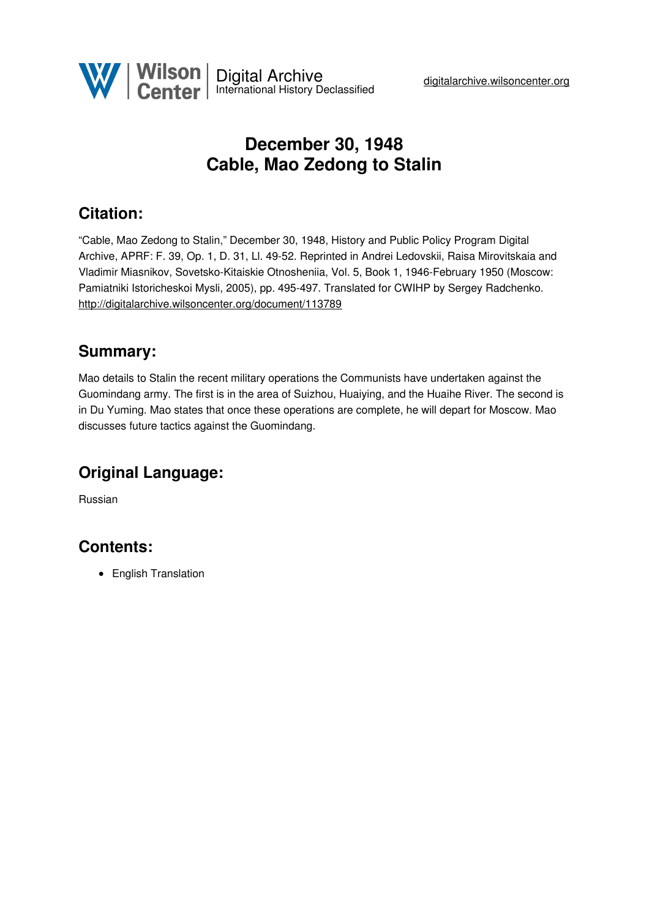

# **December 30, 1948 Cable, Mao Zedong to Stalin**

### **Citation:**

"Cable, Mao Zedong to Stalin," December 30, 1948, History and Public Policy Program Digital Archive, APRF: F. 39, Op. 1, D. 31, Ll. 49-52. Reprinted in Andrei Ledovskii, Raisa Mirovitskaia and Vladimir Miasnikov, Sovetsko-Kitaiskie Otnosheniia, Vol. 5, Book 1, 1946-February 1950 (Moscow: Pamiatniki Istoricheskoi Mysli, 2005), pp. 495-497. Translated for CWIHP by Sergey Radchenko. <http://digitalarchive.wilsoncenter.org/document/113789>

#### **Summary:**

Mao details to Stalin the recent military operations the Communists have undertaken against the Guomindang army. The first is in the area of Suizhou, Huaiying, and the Huaihe River. The second is in Du Yuming. Mao states that once these operations are complete, he will depart for Moscow. Mao discusses future tactics against the Guomindang.

## **Original Language:**

Russian

#### **Contents:**

• English Translation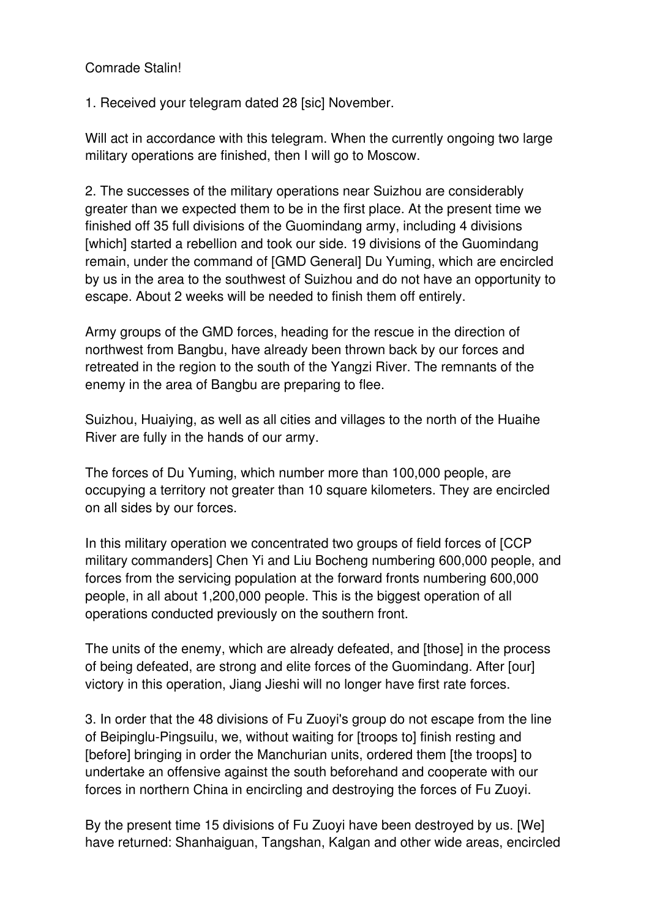#### Comrade Stalin!

1. Received your telegram dated 28 [sic] November.

Will act in accordance with this telegram. When the currently ongoing two large military operations are finished, then I will go to Moscow.

2. The successes of the military operations near Suizhou are considerably greater than we expected them to be in the first place. At the present time we finished off 35 full divisions of the Guomindang army, including 4 divisions [which] started a rebellion and took our side. 19 divisions of the Guomindang remain, under the command of [GMD General] Du Yuming, which are encircled by us in the area to the southwest of Suizhou and do not have an opportunity to escape. About 2 weeks will be needed to finish them off entirely.

Army groups of the GMD forces, heading for the rescue in the direction of northwest from Bangbu, have already been thrown back by our forces and retreated in the region to the south of the Yangzi River. The remnants of the enemy in the area of Bangbu are preparing to flee.

Suizhou, Huaiying, as well as all cities and villages to the north of the Huaihe River are fully in the hands of our army.

The forces of Du Yuming, which number more than 100,000 people, are occupying a territory not greater than 10 square kilometers. They are encircled on all sides by our forces.

In this military operation we concentrated two groups of field forces of [CCP military commanders] Chen Yi and Liu Bocheng numbering 600,000 people, and forces from the servicing population at the forward fronts numbering 600,000 people, in all about 1,200,000 people. This is the biggest operation of all operations conducted previously on the southern front.

The units of the enemy, which are already defeated, and [those] in the process of being defeated, are strong and elite forces of the Guomindang. After [our] victory in this operation, Jiang Jieshi will no longer have first rate forces.

3. In order that the 48 divisions of Fu Zuoyi's group do not escape from the line of Beipinglu-Pingsuilu, we, without waiting for [troops to] finish resting and [before] bringing in order the Manchurian units, ordered them [the troops] to undertake an offensive against the south beforehand and cooperate with our forces in northern China in encircling and destroying the forces of Fu Zuoyi.

By the present time 15 divisions of Fu Zuoyi have been destroyed by us. [We] have returned: Shanhaiguan, Tangshan, Kalgan and other wide areas, encircled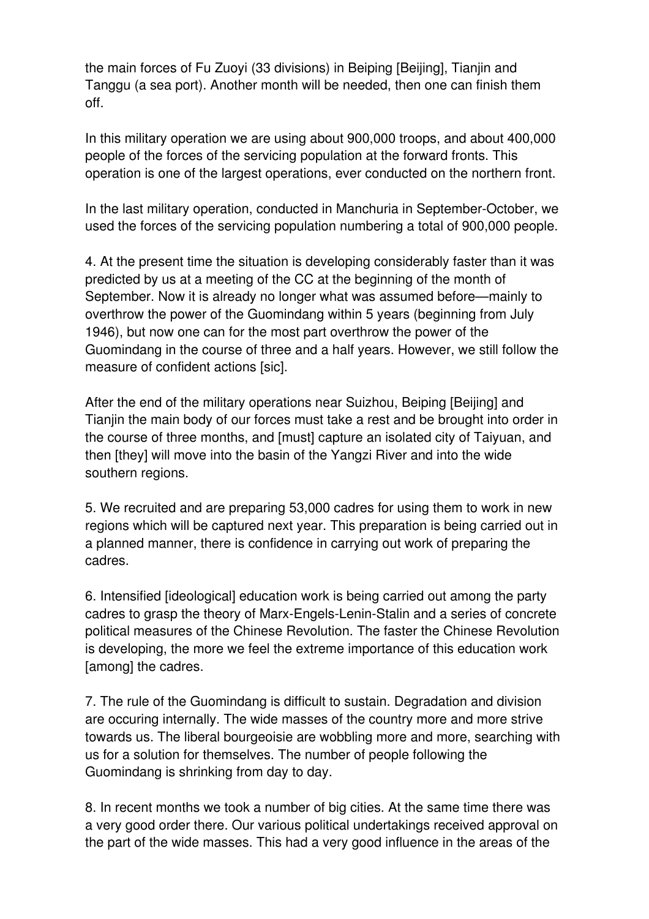the main forces of Fu Zuoyi (33 divisions) in Beiping [Beijing], Tianjin and Tanggu (a sea port). Another month will be needed, then one can finish them off.

In this military operation we are using about 900,000 troops, and about 400,000 people of the forces of the servicing population at the forward fronts. This operation is one of the largest operations, ever conducted on the northern front.

In the last military operation, conducted in Manchuria in September-October, we used the forces of the servicing population numbering a total of 900,000 people.

4. At the present time the situation is developing considerably faster than it was predicted by us at a meeting of the CC at the beginning of the month of September. Now it is already no longer what was assumed before—mainly to overthrow the power of the Guomindang within 5 years (beginning from July 1946), but now one can for the most part overthrow the power of the Guomindang in the course of three and a half years. However, we still follow the measure of confident actions [sic].

After the end of the military operations near Suizhou, Beiping [Beijing] and Tianjin the main body of our forces must take a rest and be brought into order in the course of three months, and [must] capture an isolated city of Taiyuan, and then [they] will move into the basin of the Yangzi River and into the wide southern regions.

5. We recruited and are preparing 53,000 cadres for using them to work in new regions which will be captured next year. This preparation is being carried out in a planned manner, there is confidence in carrying out work of preparing the cadres.

6. Intensified [ideological] education work is being carried out among the party cadres to grasp the theory of Marx-Engels-Lenin-Stalin and a series of concrete political measures of the Chinese Revolution. The faster the Chinese Revolution is developing, the more we feel the extreme importance of this education work [among] the cadres.

7. The rule of the Guomindang is difficult to sustain. Degradation and division are occuring internally. The wide masses of the country more and more strive towards us. The liberal bourgeoisie are wobbling more and more, searching with us for a solution for themselves. The number of people following the Guomindang is shrinking from day to day.

8. In recent months we took a number of big cities. At the same time there was a very good order there. Our various political undertakings received approval on the part of the wide masses. This had a very good influence in the areas of the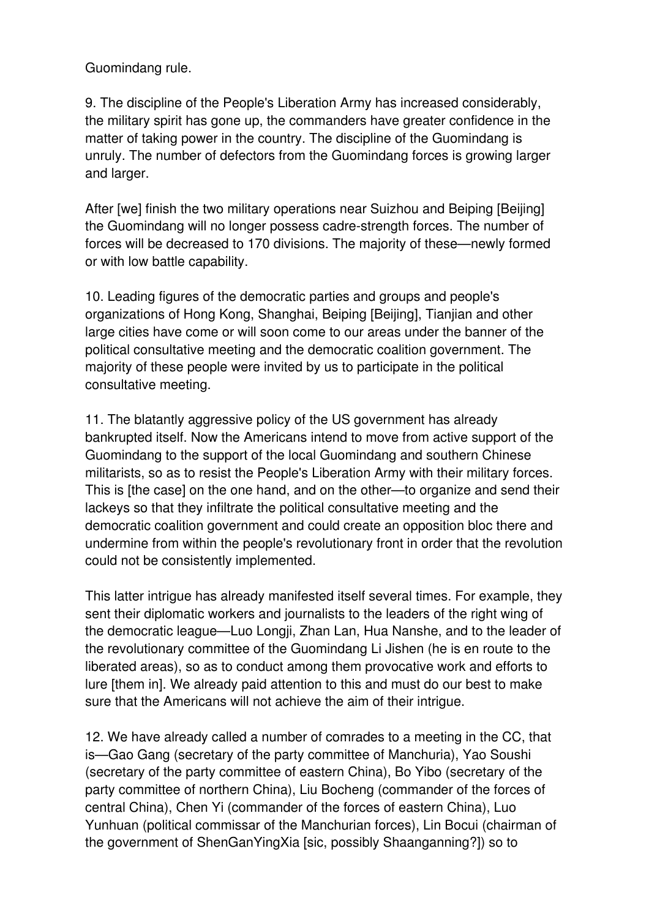Guomindang rule.

9. The discipline of the People's Liberation Army has increased considerably, the military spirit has gone up, the commanders have greater confidence in the matter of taking power in the country. The discipline of the Guomindang is unruly. The number of defectors from the Guomindang forces is growing larger and larger.

After [we] finish the two military operations near Suizhou and Beiping [Beijing] the Guomindang will no longer possess cadre-strength forces. The number of forces will be decreased to 170 divisions. The majority of these—newly formed or with low battle capability.

10. Leading figures of the democratic parties and groups and people's organizations of Hong Kong, Shanghai, Beiping [Beijing], Tianjian and other large cities have come or will soon come to our areas under the banner of the political consultative meeting and the democratic coalition government. The majority of these people were invited by us to participate in the political consultative meeting.

11. The blatantly aggressive policy of the US government has already bankrupted itself. Now the Americans intend to move from active support of the Guomindang to the support of the local Guomindang and southern Chinese militarists, so as to resist the People's Liberation Army with their military forces. This is [the case] on the one hand, and on the other—to organize and send their lackeys so that they infiltrate the political consultative meeting and the democratic coalition government and could create an opposition bloc there and undermine from within the people's revolutionary front in order that the revolution could not be consistently implemented.

This latter intrigue has already manifested itself several times. For example, they sent their diplomatic workers and journalists to the leaders of the right wing of the democratic league—Luo Longji, Zhan Lan, Hua Nanshe, and to the leader of the revolutionary committee of the Guomindang Li Jishen (he is en route to the liberated areas), so as to conduct among them provocative work and efforts to lure [them in]. We already paid attention to this and must do our best to make sure that the Americans will not achieve the aim of their intrigue.

12. We have already called a number of comrades to a meeting in the CC, that is—Gao Gang (secretary of the party committee of Manchuria), Yao Soushi (secretary of the party committee of eastern China), Bo Yibo (secretary of the party committee of northern China), Liu Bocheng (commander of the forces of central China), Chen Yi (commander of the forces of eastern China), Luo Yunhuan (political commissar of the Manchurian forces), Lin Bocui (chairman of the government of ShenGanYingXia [sic, possibly Shaanganning?]) so to